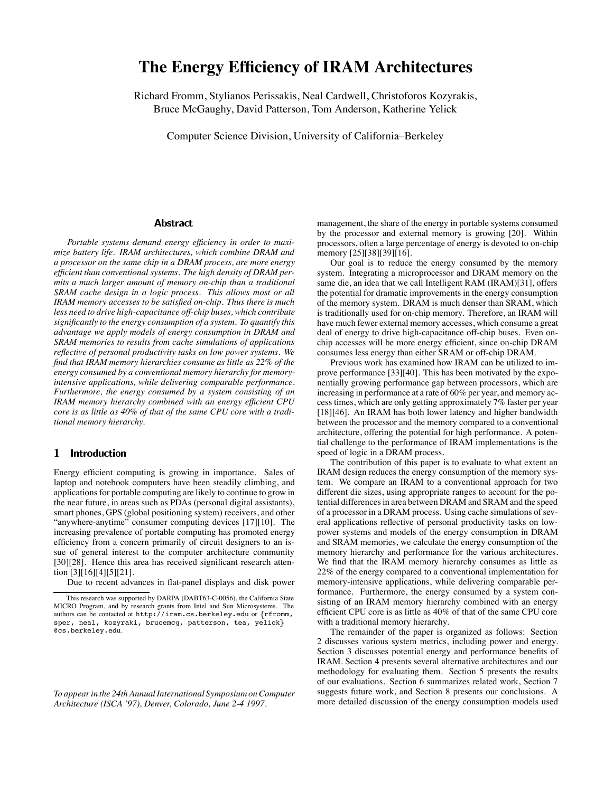# **The Energy Efficiency of IRAM Architectures**

Richard Fromm, Stylianos Perissakis, Neal Cardwell, Christoforos Kozyrakis, Bruce McGaughy, David Patterson, Tom Anderson, Katherine Yelick

Computer Science Division, University of California–Berkeley

### **Abstract**

*Portable systems demand energy efficiency in order to maximize battery life. IRAM architectures, which combine DRAM and a processor on the same chip in a DRAM process, are more energy efficient than conventional systems. The high density of DRAM permits a much larger amount of memory on-chip than a traditional SRAM cache design in a logic process. This allows most or all IRAM memory accesses to be satisfied on-chip. Thus there is much less need to drive high-capacitance off-chip buses, which contribute significantly to the energy consumption of a system. To quantify this advantage we apply models of energy consumption in DRAM and SRAM memories to results from cache simulations of applications reflective of personal productivity tasks on low power systems. We find that IRAM memory hierarchies consume as little as 22% of the energy consumed by a conventional memory hierarchy for memoryintensive applications, while delivering comparable performance. Furthermore, the energy consumed by a system consisting of an IRAM memory hierarchy combined with an energy efficient CPU core is as little as 40% of that of the same CPU core with a traditional memory hierarchy.*

#### $\mathbf{1}$ **Introduction**

Energy efficient computing is growing in importance. Sales of laptop and notebook computers have been steadily climbing, and applications for portable computing are likely to continue to grow in the near future, in areas such as PDAs (personal digital assistants), smart phones, GPS (global positioning system) receivers, and other "anywhere-anytime" consumer computing devices [17][10]. The increasing prevalence of portable computing has promoted energy efficiency from a concern primarily of circuit designers to an issue of general interest to the computer architecture community [30][28]. Hence this area has received significant research attention [3][16][4][5][21].

Due to recent advances in flat-panel displays and disk power

*To appear in the 24th Annual International Symposium on Computer Architecture (ISCA '97), Denver, Colorado, June 2-4 1997.*

management, the share of the energy in portable systems consumed by the processor and external memory is growing [20]. Within processors, often a large percentage of energy is devoted to on-chip memory [25][38][39][16].

Our goal is to reduce the energy consumed by the memory system. Integrating a microprocessor and DRAM memory on the same die, an idea that we call Intelligent RAM (IRAM)[31], offers the potential for dramatic improvements in the energy consumption of the memory system. DRAM is much denser than SRAM, which is traditionally used for on-chip memory. Therefore, an IRAM will have much fewer external memory accesses, which consume a great deal of energy to drive high-capacitance off-chip buses. Even onchip accesses will be more energy efficient, since on-chip DRAM consumes less energy than either SRAM or off-chip DRAM.

Previous work has examined how IRAM can be utilized to improve performance [33][40]. This has been motivated by the exponentially growing performance gap between processors, which are increasing in performance at a rate of 60% per year, and memory access times, which are only getting approximately 7% faster per year [18][46]. An IRAM has both lower latency and higher bandwidth between the processor and the memory compared to a conventional architecture, offering the potential for high performance. A potential challenge to the performance of IRAM implementations is the speed of logic in a DRAM process.

The contribution of this paper is to evaluate to what extent an IRAM design reduces the energy consumption of the memory system. We compare an IRAM to a conventional approach for two different die sizes, using appropriate ranges to account for the potential differences in area between DRAM and SRAM and the speed of a processor in a DRAM process. Using cache simulations of several applications reflective of personal productivity tasks on lowpower systems and models of the energy consumption in DRAM and SRAM memories, we calculate the energy consumption of the memory hierarchy and performance for the various architectures. We find that the IRAM memory hierarchy consumes as little as 22% of the energy compared to a conventional implementation for memory-intensive applications, while delivering comparable performance. Furthermore, the energy consumed by a system consisting of an IRAM memory hierarchy combined with an energy efficient CPU core is as little as 40% of that of the same CPU core with a traditional memory hierarchy.

The remainder of the paper is organized as follows: Section 2 discusses various system metrics, including power and energy. Section 3 discusses potential energy and performance benefits of IRAM. Section 4 presents several alternative architectures and our methodology for evaluating them. Section 5 presents the results of our evaluations. Section 6 summarizes related work, Section 7 suggests future work, and Section 8 presents our conclusions. A more detailed discussion of the energy consumption models used

This research was supported by DARPA (DABT63-C-0056), the California State MICRO Program, and by research grants from Intel and Sun Microsystems. The authors can be contacted at http://iram.cs.berkeley.edu or {rfromm, sper, neal, kozyraki, brucemcg, patterson, tea, yelick @cs.berkeley.edu.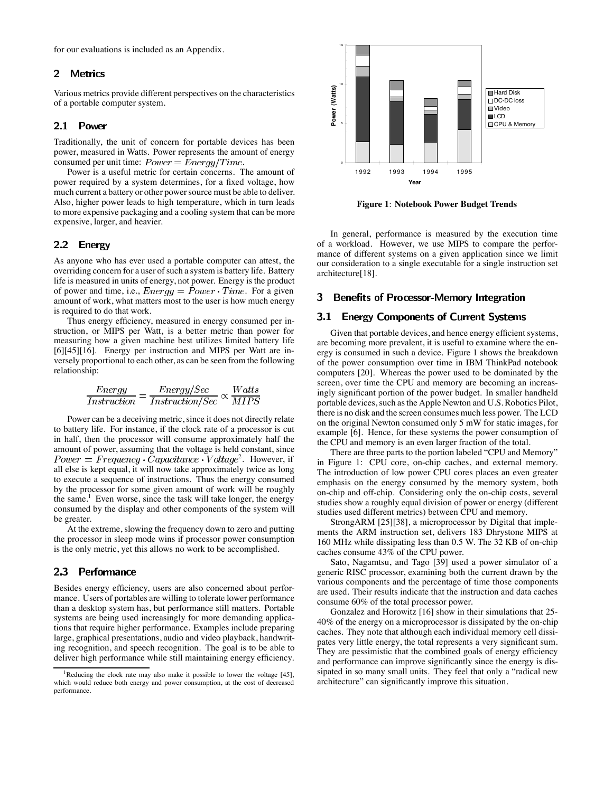for our evaluations is included as an Appendix.

### $\overline{2}$ **Metrics**

Various metrics provide different perspectives on the characteristics of a portable computer system.

# 2.1 Power

Traditionally, the unit of concern for portable devices has been power, measured in Watts. Power represents the amount of energy consumed per unit time:  $Power = Energy/Time$ .

Power is a useful metric for certain concerns. The amount of power required by a system determines, for a fixed voltage, how much current a battery or other power source must be able to deliver. Also, higher power leads to high temperature, which in turn leads to more expensive packaging and a cooling system that can be more expensive, larger, and heavier.

### 2.2 Energy

As anyone who has ever used a portable computer can attest, the overriding concern for a user of such a system is battery life. Battery life is measured in units of energy, not power. Energy is the product of power and time, i.e.,  $Energy = Power \cdot Time$ . For a given amount of work, what matters most to the user is how much energy is required to do that work.

Thus energy efficiency, measured in energy consumed per instruction, or MIPS per Watt, is a better metric than power for measuring how a given machine best utilizes limited battery life [6][45][16]. Energy per instruction and MIPS per Watt are inversely proportional to each other, as can be seen from the following relationship:

$$
\frac{Energy}{Instruction} = \frac{Energy/Sec}{Instruction/Sec} \propto \frac{Watts}{MIPS}
$$

Power can be a deceiving metric, since it does not directly relate to battery life. For instance, if the clock rate of a processor is cut in half, then the processor will consume approximately half the amount of power, assuming that the voltage is held constant, since  $Power = Frequency \cdot Capacitance \cdot Voltage^2$ . However, if all else is kept equal, it will now take approximately twice as long to execute a sequence of instructions. Thus the energy consumed by the processor for some given amount of work will be roughly the same.<sup>1</sup> Even worse, since the task will take longer, the energy consumed by the display and other components of the system will be greater.

At the extreme, slowing the frequency down to zero and putting the processor in sleep mode wins if processor power consumption is the only metric, yet this allows no work to be accomplished.

#### 2.3 Performance

Besides energy efficiency, users are also concerned about performance. Users of portables are willing to tolerate lower performance than a desktop system has, but performance still matters. Portable systems are being used increasingly for more demanding applications that require higher performance. Examples include preparing large, graphical presentations, audio and video playback, handwriting recognition, and speech recognition. The goal is to be able to deliver high performance while still maintaining energy efficiency.



**Figure 1**: **Notebook Power Budget Trends**

In general, performance is measured by the execution time of a workload. However, we use MIPS to compare the performance of different systems on a given application since we limit our consideration to a single executable for a single instruction set architecture[18].

#### **Benefits of Processor-Memory Integration** 3

### 3.1 Energy Components of Current Systems

Given that portable devices, and hence energy efficient systems, are becoming more prevalent, it is useful to examine where the energy is consumed in such a device. Figure 1 shows the breakdown of the power consumption over time in IBM ThinkPad notebook computers [20]. Whereas the power used to be dominated by the screen, over time the CPU and memory are becoming an increasingly significant portion of the power budget. In smaller handheld portable devices, such as the Apple Newton and U.S. Robotics Pilot, there is no disk and the screen consumes much less power. The LCD on the original Newton consumed only 5 mW for static images, for example [6]. Hence, for these systems the power consumption of the CPU and memory is an even larger fraction of the total.

There are three parts to the portion labeled "CPU and Memory" in Figure 1: CPU core, on-chip caches, and external memory. The introduction of low power CPU cores places an even greater emphasis on the energy consumed by the memory system, both on-chip and off-chip. Considering only the on-chip costs, several studies show a roughly equal division of power or energy (different studies used different metrics) between CPU and memory.

StrongARM [25][38], a microprocessor by Digital that implements the ARM instruction set, delivers 183 Dhrystone MIPS at 160 MHz while dissipating less than 0.5 W. The 32 KB of on-chip caches consume 43% of the CPU power.

Sato, Nagamtsu, and Tago [39] used a power simulator of a generic RISC processor, examining both the current drawn by the various components and the percentage of time those components are used. Their results indicate that the instruction and data caches consume 60% of the total processor power.

Gonzalez and Horowitz [16] show in their simulations that 25- 40% of the energy on a microprocessor is dissipated by the on-chip caches. They note that although each individual memory cell dissipates very little energy, the total represents a very significant sum. They are pessimistic that the combined goals of energy efficiency and performance can improve significantly since the energy is dissipated in so many small units. They feel that only a "radical new architecture" can significantly improve this situation.

Reducing the clock rate may also make it possible to lower the voltage [45], which would reduce both energy and power consumption, at the cost of decreased performance.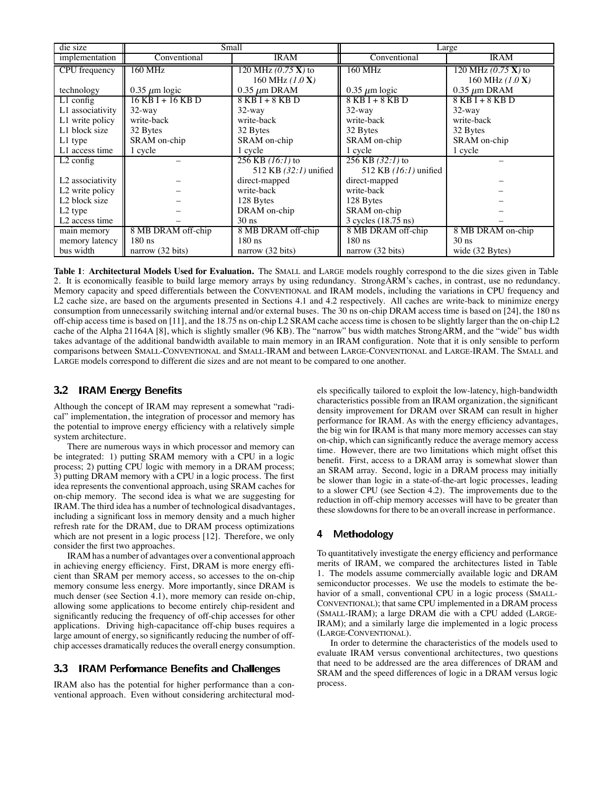| die size                     |                                                          | Small                         | Large                      |                               |  |
|------------------------------|----------------------------------------------------------|-------------------------------|----------------------------|-------------------------------|--|
| implementation               | Conventional                                             | <b>IRAM</b>                   | Conventional               | <b>IRAM</b>                   |  |
| <b>CPU</b> frequency         | 160 MHz                                                  | 120 MHz $(0.75 \text{ X})$ to | 160 MHz                    | 120 MHz $(0.75 \text{ X})$ to |  |
|                              |                                                          | 160 MHz $(1.0 X)$             |                            | 160 MHz $(1.0 X)$             |  |
| technology                   | $0.35 \ \mu m \text{ logic}$                             | $0.35 \ \mu m$ DRAM           | $0.35 \mu m$ logic         | $0.35 \ \mu m \text{ DRAM}$   |  |
| $L1$ config                  | $16$ KB I + 16 KB D                                      | $8 K B I + 8 K B D$           | $8$ KB I + $8$ KB D        | $8 KBI + 8 KBD$               |  |
| L1 associativity             | $32$ -way                                                | $32$ -way                     | $32$ -way                  | $32$ -way                     |  |
| L1 write policy              | write-back                                               | write-back                    | write-back                 | write-back                    |  |
| L1 block size                | 32 Bytes                                                 | 32 Bytes                      | 32 Bytes                   | 32 Bytes                      |  |
| $L1$ type                    | SRAM on-chip                                             | SRAM on-chip                  | SRAM on-chip               | SRAM on-chip                  |  |
| L1 access time               | 1 cycle                                                  | 1 cycle                       | 1 cycle                    | 1 cycle                       |  |
| $L2$ config                  |                                                          | 256 KB $(16:1)$ to            | 256 KB $(32:1)$ to         |                               |  |
|                              |                                                          | 512 KB $(32:1)$ unified       | 512 KB (16:1) unified      |                               |  |
| L <sub>2</sub> associativity |                                                          | direct-mapped                 | direct-mapped              |                               |  |
| L2 write policy              |                                                          | write-back                    | write-back                 |                               |  |
| L <sub>2</sub> block size    |                                                          | 128 Bytes                     | 128 Bytes                  |                               |  |
| L2 type                      |                                                          | DRAM on-chip                  | SRAM on-chip               |                               |  |
| L <sub>2</sub> access time   |                                                          | $30$ ns                       | 3 cycles (18.75 ns)        |                               |  |
| main memory                  | 8 MB DRAM off-chip                                       | 8 MB DRAM off-chip            | 8 MB DRAM off-chip         | 8 MB DRAM on-chip             |  |
| memory latency               | $180$ ns                                                 | $180$ ns                      | $180$ ns                   | $30$ ns                       |  |
| bus width                    | narrow $(32 \text{ bits})$<br>narrow $(32 \text{ bits})$ |                               | narrow $(32 \text{ bits})$ | wide $(32 \text{ Bytes})$     |  |

**Table 1**: **Architectural Models Used for Evaluation.** The SMALL and LARGE models roughly correspond to the die sizes given in Table 2. It is economically feasible to build large memory arrays by using redundancy. StrongARM's caches, in contrast, use no redundancy. Memory capacity and speed differentials between the CONVENTIONAL and IRAM models, including the variations in CPU frequency and L2 cache size, are based on the arguments presented in Sections 4.1 and 4.2 respectively. All caches are write-back to minimize energy consumption from unnecessarily switching internal and/or external buses. The 30 ns on-chip DRAM access time is based on [24], the 180 ns off-chip access time is based on [11], and the 18.75 ns on-chip L2 SRAM cache access time is chosen to be slightly larger than the on-chip L2 cache of the Alpha 21164A [8], which is slightly smaller (96 KB). The "narrow" bus width matches StrongARM, and the "wide" bus width takes advantage of the additional bandwidth available to main memory in an IRAM configuration. Note that it is only sensible to perform comparisons between SMALL-CONVENTIONAL and SMALL-IRAM and between LARGE-CONVENTIONAL and LARGE-IRAM. The SMALL and LARGE models correspond to different die sizes and are not meant to be compared to one another.

### $3.2$ **IRAM Energy Benefits**

Although the concept of IRAM may represent a somewhat "radical" implementation, the integration of processor and memory has the potential to improve energy efficiency with a relatively simple system architecture.

There are numerous ways in which processor and memory can be integrated: 1) putting SRAM memory with a CPU in a logic process; 2) putting CPU logic with memory in a DRAM process; 3) putting DRAM memory with a CPU in a logic process. The first idea represents the conventional approach, using SRAM caches for on-chip memory. The second idea is what we are suggesting for IRAM. The third idea has a number of technological disadvantages, including a significant loss in memory density and a much higher refresh rate for the DRAM, due to DRAM process optimizations which are not present in a logic process [12]. Therefore, we only consider the first two approaches.

IRAM has a number of advantages over a conventional approach in achieving energy efficiency. First, DRAM is more energy efficient than SRAM per memory access, so accesses to the on-chip memory consume less energy. More importantly, since DRAM is much denser (see Section 4.1), more memory can reside on-chip, allowing some applications to become entirely chip-resident and significantly reducing the frequency of off-chip accesses for other applications. Driving high-capacitance off-chip buses requires a large amount of energy, so significantly reducing the number of offchip accesses dramatically reduces the overall energy consumption.

# 3.3 IRAM Performance Benefits and Challenges

IRAM also has the potential for higher performance than a conventional approach. Even without considering architectural models specifically tailored to exploit the low-latency, high-bandwidth characteristics possible from an IRAM organization, the significant density improvement for DRAM over SRAM can result in higher performance for IRAM. As with the energy efficiency advantages, the big win for IRAM is that many more memory accesses can stay on-chip, which can significantly reduce the average memory access time. However, there are two limitations which might offset this benefit. First, access to a DRAM array is somewhat slower than an SRAM array. Second, logic in a DRAM process may initially be slower than logic in a state-of-the-art logic processes, leading to a slower CPU (see Section 4.2). The improvements due to the reduction in off-chip memory accesses will have to be greater than these slowdowns for there to be an overall increase in performance.

### 4 Methodology

To quantitatively investigate the energy efficiency and performance merits of IRAM, we compared the architectures listed in Table 1. The models assume commercially available logic and DRAM semiconductor processes. We use the models to estimate the behavior of a small, conventional CPU in a logic process (SMALL-CONVENTIONAL); that same CPU implemented in a DRAM process (SMALL-IRAM); a large DRAM die with a CPU added (LARGE-IRAM); and a similarly large die implemented in a logic process (LARGE-CONVENTIONAL).

In order to determine the characteristics of the models used to evaluate IRAM versus conventional architectures, two questions that need to be addressed are the area differences of DRAM and SRAM and the speed differences of logic in a DRAM versus logic process.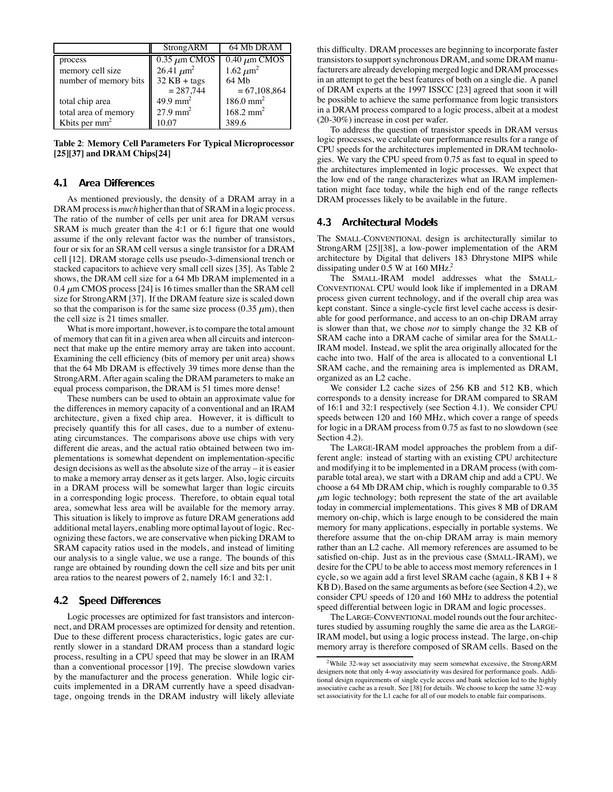|                       | StrongARM                  | 64 Mb DRAM                |
|-----------------------|----------------------------|---------------------------|
| process               | $0.35 \mu$ m CMOS          | $0.40 \mu m$ CMOS         |
| memory cell size      | 26.41 $\mu$ m <sup>2</sup> | 1.62 $\mu$ m <sup>2</sup> |
| number of memory bits | $32 KB + tags$             | 64 Mb                     |
|                       | $= 287,744$                | $= 67,108,864$            |
| total chip area       | $49.9$ mm <sup>2</sup>     | $186.0 \text{ mm}^2$      |
| total area of memory  | $27.9$ mm <sup>2</sup>     | $168.2 \text{ mm}^2$      |
| Kbits per $mm2$       | 10.07                      | 389.6                     |

**Table 2**: **Memory Cell Parameters For Typical Microprocessor [25][37] and DRAM Chips[24]**

# 4.1 Area Differences

As mentioned previously, the density of a DRAM array in a DRAM process is *much* higher than that of SRAM in a logic process. The ratio of the number of cells per unit area for DRAM versus SRAM is much greater than the 4:1 or 6:1 figure that one would assume if the only relevant factor was the number of transistors, four or six for an SRAM cell versus a single transistor for a DRAM cell [12]. DRAM storage cells use pseudo-3-dimensional trench or stacked capacitors to achieve very small cell sizes [35]. As Table 2 shows, the DRAM cell size for a 64 Mb DRAM implemented in a 0.4  $\mu$ m CMOS process [24] is 16 times smaller than the SRAM cell size for StrongARM [37]. If the DRAM feature size is scaled down so that the comparison is for the same size process (0.35  $\mu$ m), then the cell size is 21 times smaller.

What is more important, however, is to compare the total amount of memory that can fit in a given area when all circuits and interconnect that make up the entire memory array are taken into account. Examining the cell efficiency (bits of memory per unit area) shows that the 64 Mb DRAM is effectively 39 times more dense than the StrongARM. After again scaling the DRAM parameters to make an equal process comparison, the DRAM is 51 times more dense!

These numbers can be used to obtain an approximate value for the differences in memory capacity of a conventional and an IRAM architecture, given a fixed chip area. However, it is difficult to precisely quantify this for all cases, due to a number of extenuating circumstances. The comparisons above use chips with very different die areas, and the actual ratio obtained between two implementations is somewhat dependent on implementation-specific design decisions as well as the absolute size of the array – it is easier to make a memory array denser as it gets larger. Also, logic circuits in a DRAM process will be somewhat larger than logic circuits in a corresponding logic process. Therefore, to obtain equal total area, somewhat less area will be available for the memory array. This situation is likely to improve as future DRAM generations add additional metal layers, enabling more optimal layout of logic. Recognizing these factors, we are conservative when picking DRAM to SRAM capacity ratios used in the models, and instead of limiting our analysis to a single value, we use a range. The bounds of this range are obtained by rounding down the cell size and bits per unit area ratios to the nearest powers of 2, namely 16:1 and 32:1.

# **4.2 Speed Differences**

Logic processes are optimized for fast transistors and interconnect, and DRAM processes are optimized for density and retention. Due to these different process characteristics, logic gates are currently slower in a standard DRAM process than a standard logic process, resulting in a CPU speed that may be slower in an IRAM than a conventional processor [19]. The precise slowdown varies by the manufacturer and the process generation. While logic circuits implemented in a DRAM currently have a speed disadvantage, ongoing trends in the DRAM industry will likely alleviate

this difficulty. DRAM processes are beginning to incorporate faster transistors to support synchronous DRAM, and some DRAM manufacturers are already developing merged logic and DRAM processes in an attempt to get the best features of both on a single die. A panel of DRAM experts at the 1997 ISSCC [23] agreed that soon it will be possible to achieve the same performance from logic transistors in a DRAM process compared to a logic process, albeit at a modest (20-30%) increase in cost per wafer.

To address the question of transistor speeds in DRAM versus logic processes, we calculate our performance results for a range of CPU speeds for the architectures implemented in DRAM technologies. We vary the CPU speed from 0.75 as fast to equal in speed to the architectures implemented in logic processes. We expect that the low end of the range characterizes what an IRAM implementation might face today, while the high end of the range reflects DRAM processes likely to be available in the future.

### 4.3 Architectural Models

The SMALL-CONVENTIONAL design is architecturally similar to StrongARM [25][38], a low-power implementation of the ARM architecture by Digital that delivers 183 Dhrystone MIPS while dissipating under 0.5 W at 160 MHz.<sup>2</sup>

The SMALL-IRAM model addresses what the SMALL-CONVENTIONAL CPU would look like if implemented in a DRAM process given current technology, and if the overall chip area was kept constant. Since a single-cycle first level cache access is desirable for good performance, and access to an on-chip DRAM array is slower than that, we chose *not* to simply change the 32 KB of SRAM cache into a DRAM cache of similar area for the SMALL-IRAM model. Instead, we split the area originally allocated for the cache into two. Half of the area is allocated to a conventional L1 SRAM cache, and the remaining area is implemented as DRAM, organized as an L2 cache.

We consider L2 cache sizes of 256 KB and 512 KB, which corresponds to a density increase for DRAM compared to SRAM of 16:1 and 32:1 respectively (see Section 4.1). We consider CPU speeds between 120 and 160 MHz, which cover a range of speeds for logic in a DRAM process from 0.75 as fast to no slowdown (see Section 4.2).

The LARGE-IRAM model approaches the problem from a different angle: instead of starting with an existing CPU architecture and modifying it to be implemented in a DRAM process (with comparable total area), we start with a DRAM chip and add a CPU. We choose a 64 Mb DRAM chip, which is roughly comparable to 0.35  $\mu$ m logic technology; both represent the state of the art available today in commercial implementations. This gives 8 MB of DRAM memory on-chip, which is large enough to be considered the main memory for many applications, especially in portable systems. We therefore assume that the on-chip DRAM array is main memory rather than an L2 cache. All memory references are assumed to be satisfied on-chip. Just as in the previous case (SMALL-IRAM), we desire for the CPU to be able to access most memory references in 1 cycle, so we again add a first level SRAM cache (again,  $8$  KB I +  $8$ ) KB D). Based on the same arguments as before (see Section 4.2), we consider CPU speeds of 120 and 160 MHz to address the potential speed differential between logic in DRAM and logic processes.

The LARGE-CONVENTIONAL model rounds out the four architectures studied by assuming roughly the same die area as the LARGE-IRAM model, but using a logic process instead. The large, on-chip memory array is therefore composed of SRAM cells. Based on the

<sup>&</sup>lt;sup>2</sup>While 32-way set associativity may seem somewhat excessive, the StrongARM designers note that only 4-way associativity was desired for performance goals. Additional design requirements of single cycle access and bank selection led to the highly associative cache as a result. See [38] for details. We choose to keep the same 32-way set associativity for the L1 cache for all of our models to enable fair comparisons.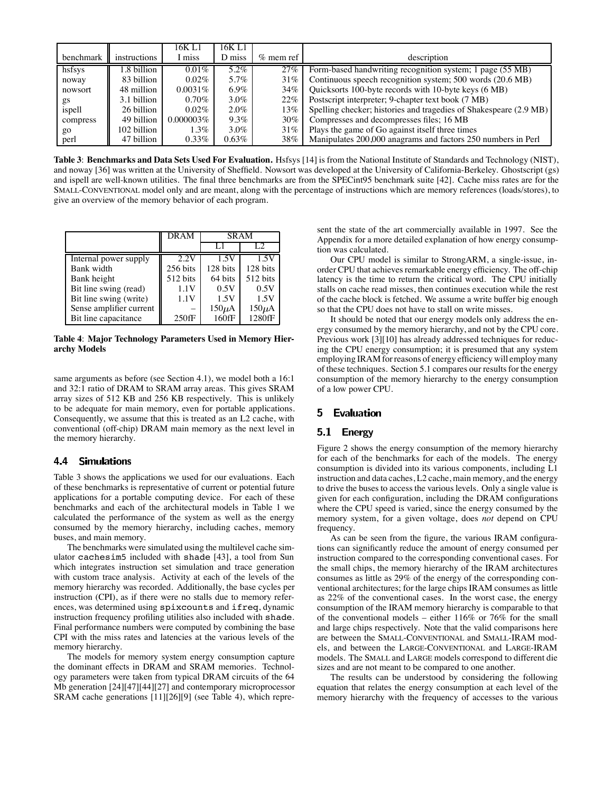|                 |              | 16K L1       | 16K L1   |              |                                                                   |
|-----------------|--------------|--------------|----------|--------------|-------------------------------------------------------------------|
| benchmark       | instructions | miss         | D miss   | $\%$ mem ref | description                                                       |
| hsfsys          | 1.8 billion  | $0.01\%$     | 5.2%     | $27\%$       | Form-based handwriting recognition system; 1 page (55 MB)         |
| noway           | 83 billion   | $0.02\%$     | 5.7%     | $31\%$       | Continuous speech recognition system; 500 words (20.6 MB)         |
| nowsort         | 48 million   | $0.0031\%$   | 6.9%     | 34%          | Quicksorts 100-byte records with 10-byte keys (6 MB)              |
| gs              | 3.1 billion  | $0.70\%$     | $3.0\%$  | $22\%$       | Postscript interpreter; 9-chapter text book (7 MB)                |
| ispell          | 26 billion   | $0.02\%$     | $2.0\%$  | 13%          | Spelling checker; histories and tragedies of Shakespeare (2.9 MB) |
| compress        | 49 billion   | $0.000003\%$ | $9.3\%$  | $30\%$       | Compresses and decompresses files; 16 MB                          |
| $\overline{2}0$ | 102 billion  | $1.3\%$      | $3.0\%$  | $31\%$       | Plays the game of Go against itself three times                   |
| perl            | 47 billion   | $0.33\%$     | $0.63\%$ | 38%          | Manipulates 200,000 anagrams and factors 250 numbers in Perl      |

**Table 3**: **Benchmarks and Data Sets Used For Evaluation.** Hsfsys [14] is from the National Institute of Standards and Technology (NIST), and noway [36] was written at the University of Sheffield. Nowsort was developed at the University of California-Berkeley. Ghostscript (gs) and ispell are well-known utilities. The final three benchmarks are from the SPECint95 benchmark suite [42]. Cache miss rates are for the SMALL-CONVENTIONAL model only and are meant, along with the percentage of instructions which are memory references (loads/stores), to give an overview of the memory behavior of each program.

|                         | <b>DRAM</b> | <b>SRAM</b> |            |
|-------------------------|-------------|-------------|------------|
|                         |             |             |            |
| Internal power supply   | 2.2V        | 1.5V        | 1.5V       |
| Bank width              | 256 bits    | 128 bits    | 128 bits   |
| Bank height             | 512 bits    | 64 bits     | 512 bits   |
| Bit line swing (read)   | 1.1V        | 0.5V        | 0.5V       |
| Bit line swing (write)  | 1.1V        | 1.5V        | 1.5V       |
| Sense amplifier current |             | $150\mu$ A  | $150\mu$ A |
| Bit line capacitance    | $250$ fF    | 160fF       | 1280fF     |

**Table 4**: **Major Technology Parameters Used in Memory Hierarchy Models**

same arguments as before (see Section 4.1), we model both a 16:1 and 32:1 ratio of DRAM to SRAM array areas. This gives SRAM array sizes of 512 KB and 256 KB respectively. This is unlikely to be adequate for main memory, even for portable applications. Consequently, we assume that this is treated as an L2 cache, with conventional (off-chip) DRAM main memory as the next level in the memory hierarchy.

# 4.4 Simulations

Table 3 shows the applications we used for our evaluations. Each of these benchmarks is representative of current or potential future applications for a portable computing device. For each of these benchmarks and each of the architectural models in Table 1 we calculated the performance of the system as well as the energy consumed by the memory hierarchy, including caches, memory buses, and main memory.

The benchmarks were simulated using the multilevel cache simulator cachesim5 included with shade [43], a tool from Sun which integrates instruction set simulation and trace generation with custom trace analysis. Activity at each of the levels of the memory hierarchy was recorded. Additionally, the base cycles per instruction (CPI), as if there were no stalls due to memory references, was determined using spixcounts and ifreq, dynamic instruction frequency profiling utilities also included with shade. Final performance numbers were computed by combining the base CPI with the miss rates and latencies at the various levels of the memory hierarchy.

The models for memory system energy consumption capture the dominant effects in DRAM and SRAM memories. Technology parameters were taken from typical DRAM circuits of the 64 Mb generation [24][47][44][27] and contemporary microprocessor SRAM cache generations [11][26][9] (see Table 4), which represent the state of the art commercially available in 1997. See the Appendix for a more detailed explanation of how energy consumption was calculated.

Our CPU model is similar to StrongARM, a single-issue, inorder CPU that achieves remarkable energy efficiency. The off-chip latency is the time to return the critical word. The CPU initially stalls on cache read misses, then continues execution while the rest of the cache block is fetched. We assume a write buffer big enough so that the CPU does not have to stall on write misses.

It should be noted that our energy models only address the energy consumed by the memory hierarchy, and not by the CPU core. Previous work [3][10] has already addressed techniques for reducing the CPU energy consumption; it is presumed that any system employing IRAM for reasons of energy efficiency will employ many of these techniques. Section 5.1 compares our results for the energy consumption of the memory hierarchy to the energy consumption of a low power CPU.

### **Evaluation**  $5\phantom{.0}$

#### Energy 5.1

Figure 2 shows the energy consumption of the memory hierarchy for each of the benchmarks for each of the models. The energy consumption is divided into its various components, including L1 instruction and data caches, L2 cache, main memory, and the energy to drive the buses to access the various levels. Only a single value is given for each configuration, including the DRAM configurations where the CPU speed is varied, since the energy consumed by the memory system, for a given voltage, does *not* depend on CPU frequency.

As can be seen from the figure, the various IRAM configurations can significantly reduce the amount of energy consumed per instruction compared to the corresponding conventional cases. For the small chips, the memory hierarchy of the IRAM architectures consumes as little as 29% of the energy of the corresponding conventional architectures; for the large chips IRAM consumes as little as 22% of the conventional cases. In the worst case, the energy consumption of the IRAM memory hierarchy is comparable to that of the conventional models – either 116% or 76% for the small and large chips respectively. Note that the valid comparisons here are between the SMALL-CONVENTIONAL and SMALL-IRAM models, and between the LARGE-CONVENTIONAL and LARGE-IRAM models. The SMALL and LARGE models correspond to different die sizes and are not meant to be compared to one another.

The results can be understood by considering the following equation that relates the energy consumption at each level of the memory hierarchy with the frequency of accesses to the various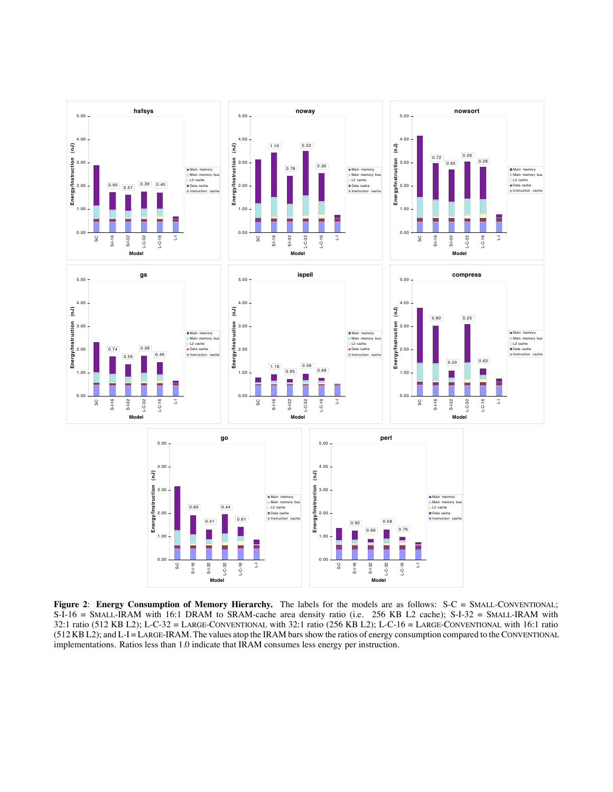

**Figure 2**: **Energy Consumption of Memory Hierarchy.** The labels for the models are as follows: S-C = SMALL-CONVENTIONAL; S-I-16 = SMALL-IRAM with 16:1 DRAM to SRAM-cache area density ratio (i.e. 256 KB L2 cache); S-I-32 = SMALL-IRAM with 32:1 ratio (512 KB L2); L-C-32 = LARGE-CONVENTIONAL with 32:1 ratio (256 KB L2); L-C-16 = LARGE-CONVENTIONAL with 16:1 ratio (512 KB L2); and L-I = LARGE-IRAM. The values atop the IRAM bars show the ratios of energy consumption compared to the CONVENTIONAL implementations. Ratios less than 1.0 indicate that IRAM consumes less energy per instruction.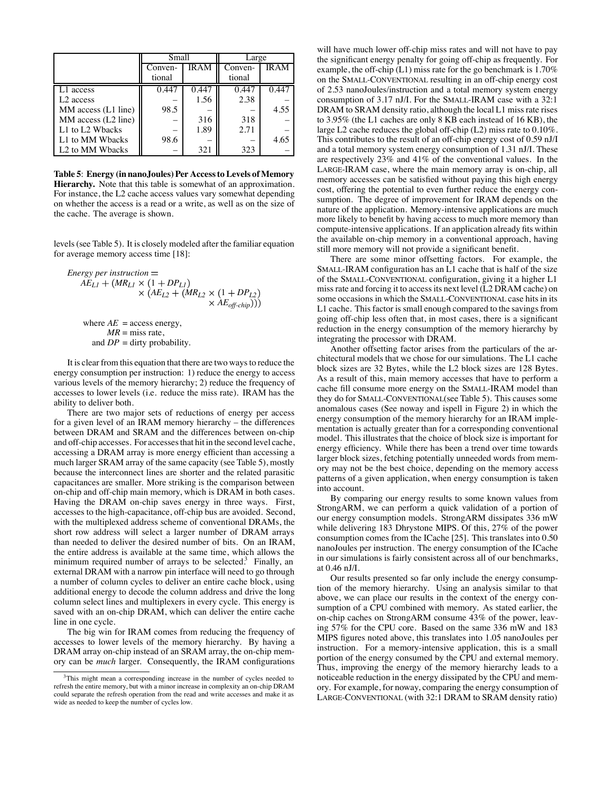|                             | Small               |       | Large             |       |  |
|-----------------------------|---------------------|-------|-------------------|-------|--|
|                             | $Conven-$<br>tional |       | Conven-<br>tional |       |  |
| L1 access                   | 0.447               | 0.447 | $0.44^{\circ}$    | 0.441 |  |
| L <sub>2</sub> access       |                     | 1.56  | 2.38              |       |  |
| MM access (L1 line)         | 98.5                |       |                   | 4.55  |  |
| MM access (L2 line)         |                     | 316   | 318               |       |  |
| L1 to L2 Whacks             |                     | 1.89  | 2.71              |       |  |
| L1 to MM Wbacks             | 98.6                |       |                   | 4.65  |  |
| L <sub>2</sub> to MM Wbacks |                     | 321   | 323               |       |  |

**Table 5**: **Energy (in nanoJoules) Per Access to Levels of Memory Hierarchy.** Note that this table is somewhat of an approximation. For instance, the L2 cache access values vary somewhat depending on whether the access is a read or a write, as well as on the size of the cache. The average is shown.

levels (see Table 5). It is closely modeled after the familiar equation for average memory access time [18]:

Energy per instruction =  
\n
$$
AE_{L1} + (MR_{L1} \times (1 + DP_{L1}) \times (AE_{L2} + (MR_{L2} \times (1 + DP_{L2})) \times AE_{off \text{-}chip}))
$$

where  $AE$  = access energy,  $MR =$  miss rate. and  $DP =$  dirty probability.

It is clear from this equation that there are two ways to reduce the energy consumption per instruction: 1) reduce the energy to access various levels of the memory hierarchy; 2) reduce the frequency of accesses to lower levels (i.e. reduce the miss rate). IRAM has the ability to deliver both.

There are two major sets of reductions of energy per access for a given level of an IRAM memory hierarchy – the differences between DRAM and SRAM and the differences between on-chip and off-chip accesses. For accesses that hit in the second level cache, accessing a DRAM array is more energy efficient than accessing a much larger SRAM array of the same capacity (see Table 5), mostly because the interconnect lines are shorter and the related parasitic capacitances are smaller. More striking is the comparison between on-chip and off-chip main memory, which is DRAM in both cases. Having the DRAM on-chip saves energy in three ways. First, accesses to the high-capacitance, off-chip bus are avoided. Second, with the multiplexed address scheme of conventional DRAMs, the short row address will select a larger number of DRAM arrays than needed to deliver the desired number of bits. On an IRAM, the entire address is available at the same time, which allows the minimum required number of arrays to be selected.<sup>3</sup> Finally, an external DRAM with a narrow pin interface will need to go through a number of column cycles to deliver an entire cache block, using additional energy to decode the column address and drive the long column select lines and multiplexers in every cycle. This energy is saved with an on-chip DRAM, which can deliver the entire cache line in one cycle.

The big win for IRAM comes from reducing the frequency of accesses to lower levels of the memory hierarchy. By having a DRAM array on-chip instead of an SRAM array, the on-chip memory can be *much* larger. Consequently, the IRAM configurations

will have much lower off-chip miss rates and will not have to pay the significant energy penalty for going off-chip as frequently. For example, the off-chip (L1) miss rate for the go benchmark is 1.70% on the SMALL-CONVENTIONAL resulting in an off-chip energy cost of 2.53 nanoJoules/instruction and a total memory system energy consumption of 3.17 nJ/I. For the SMALL-IRAM case with a 32:1 DRAM to SRAM density ratio, although the local L1 miss rate rises to 3.95% (the L1 caches are only 8 KB each instead of 16 KB), the large L2 cache reduces the global off-chip (L2) miss rate to 0.10%. This contributes to the result of an off-chip energy cost of 0.59 nJ/I and a total memory system energy consumption of 1.31 nJ/I. These are respectively 23% and 41% of the conventional values. In the LARGE-IRAM case, where the main memory array is on-chip, all memory accesses can be satisfied without paying this high energy cost, offering the potential to even further reduce the energy consumption. The degree of improvement for IRAM depends on the nature of the application. Memory-intensive applications are much more likely to benefit by having access to much more memory than compute-intensive applications. If an application already fits within the available on-chip memory in a conventional approach, having still more memory will not provide a significant benefit.

There are some minor offsetting factors. For example, the SMALL-IRAM configuration has an L1 cache that is half of the size of the SMALL-CONVENTIONAL configuration, giving it a higher L1 miss rate and forcing it to access its next level (L2 DRAM cache) on some occasions in which the SMALL-CONVENTIONAL case hits in its L1 cache. This factor is small enough compared to the savings from going off-chip less often that, in most cases, there is a significant reduction in the energy consumption of the memory hierarchy by integrating the processor with DRAM.

Another offsetting factor arises from the particulars of the architectural models that we chose for our simulations. The L1 cache block sizes are 32 Bytes, while the L2 block sizes are 128 Bytes. As a result of this, main memory accesses that have to perform a cache fill consume more energy on the SMALL-IRAM model than they do for SMALL-CONVENTIONAL(see Table 5). This causes some anomalous cases (See noway and ispell in Figure 2) in which the energy consumption of the memory hierarchy for an IRAM implementation is actually greater than for a corresponding conventional model. This illustrates that the choice of block size is important for energy efficiency. While there has been a trend over time towards larger block sizes, fetching potentially unneeded words from memory may not be the best choice, depending on the memory access patterns of a given application, when energy consumption is taken into account.

By comparing our energy results to some known values from StrongARM, we can perform a quick validation of a portion of our energy consumption models. StrongARM dissipates 336 mW while delivering 183 Dhrystone MIPS. Of this, 27% of the power consumption comes from the ICache [25]. This translates into 0.50 nanoJoules per instruction. The energy consumption of the ICache in our simulations is fairly consistent across all of our benchmarks, at 0.46 nJ/I.

Our results presented so far only include the energy consumption of the memory hierarchy. Using an analysis similar to that above, we can place our results in the context of the energy consumption of a CPU combined with memory. As stated earlier, the on-chip caches on StrongARM consume 43% of the power, leaving 57% for the CPU core. Based on the same 336 mW and 183 MIPS figures noted above, this translates into 1.05 nanoJoules per instruction. For a memory-intensive application, this is a small portion of the energy consumed by the CPU and external memory. Thus, improving the energy of the memory hierarchy leads to a noticeable reduction in the energy dissipated by the CPU and memory. For example, for noway, comparing the energy consumption of LARGE-CONVENTIONAL (with 32:1 DRAM to SRAM density ratio)

 $3$ This might mean a corresponding increase in the number of cycles needed to refresh the entire memory, but with a minor increase in complexity an on-chip DRAM could separate the refresh operation from the read and write accesses and make it as wide as needed to keep the number of cycles low.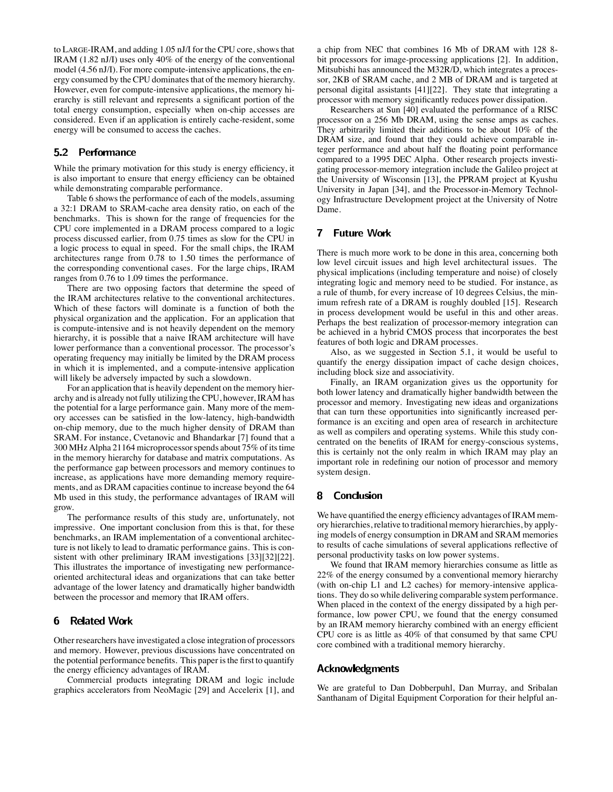to LARGE-IRAM, and adding 1.05 nJ/I for the CPU core, shows that IRAM (1.82 nJ/I) uses only 40% of the energy of the conventional model (4.56 nJ/I). For more compute-intensive applications, the energy consumed by the CPU dominates that of the memory hierarchy. However, even for compute-intensive applications, the memory hierarchy is still relevant and represents a significant portion of the total energy consumption, especially when on-chip accesses are considered. Even if an application is entirely cache-resident, some energy will be consumed to access the caches.

#### $5.2$ Performance

While the primary motivation for this study is energy efficiency, it is also important to ensure that energy efficiency can be obtained while demonstrating comparable performance.

Table 6 shows the performance of each of the models, assuming a 32:1 DRAM to SRAM-cache area density ratio, on each of the benchmarks. This is shown for the range of frequencies for the CPU core implemented in a DRAM process compared to a logic process discussed earlier, from 0.75 times as slow for the CPU in a logic process to equal in speed. For the small chips, the IRAM architectures range from 0.78 to 1.50 times the performance of the corresponding conventional cases. For the large chips, IRAM ranges from 0.76 to 1.09 times the performance.

There are two opposing factors that determine the speed of the IRAM architectures relative to the conventional architectures. Which of these factors will dominate is a function of both the physical organization and the application. For an application that is compute-intensive and is not heavily dependent on the memory hierarchy, it is possible that a naive IRAM architecture will have lower performance than a conventional processor. The processor's operating frequency may initially be limited by the DRAM process in which it is implemented, and a compute-intensive application will likely be adversely impacted by such a slowdown.

For an application that is heavily dependent on the memory hierarchy and is already not fully utilizing the CPU, however, IRAM has the potential for a large performance gain. Many more of the memory accesses can be satisfied in the low-latency, high-bandwidth on-chip memory, due to the much higher density of DRAM than SRAM. For instance, Cvetanovic and Bhandarkar [7] found that a 300 MHz Alpha 21164 microprocessor spends about 75% of its time in the memory hierarchy for database and matrix computations. As the performance gap between processors and memory continues to increase, as applications have more demanding memory requirements, and as DRAM capacities continue to increase beyond the 64 Mb used in this study, the performance advantages of IRAM will grow.

The performance results of this study are, unfortunately, not impressive. One important conclusion from this is that, for these benchmarks, an IRAM implementation of a conventional architecture is not likely to lead to dramatic performance gains. This is consistent with other preliminary IRAM investigations [33][32][22]. This illustrates the importance of investigating new performanceoriented architectural ideas and organizations that can take better advantage of the lower latency and dramatically higher bandwidth between the processor and memory that IRAM offers.

### **Related Work** 6

Other researchers have investigated a close integration of processors and memory. However, previous discussions have concentrated on the potential performance benefits. This paper is the first to quantify the energy efficiency advantages of IRAM.

Commercial products integrating DRAM and logic include graphics accelerators from NeoMagic [29] and Accelerix [1], and a chip from NEC that combines 16 Mb of DRAM with 128 8 bit processors for image-processing applications [2]. In addition, Mitsubishi has announced the M32R/D, which integrates a processor, 2KB of SRAM cache, and 2 MB of DRAM and is targeted at personal digital assistants [41][22]. They state that integrating a processor with memory significantly reduces power dissipation.

Researchers at Sun [40] evaluated the performance of a RISC processor on a 256 Mb DRAM, using the sense amps as caches. They arbitrarily limited their additions to be about 10% of the DRAM size, and found that they could achieve comparable integer performance and about half the floating point performance compared to a 1995 DEC Alpha. Other research projects investigating processor-memory integration include the Galileo project at the University of Wisconsin [13], the PPRAM project at Kyushu University in Japan [34], and the Processor-in-Memory Technology Infrastructure Development project at the University of Notre Dame.

### $\mathbf{7}$ **Future Work**

There is much more work to be done in this area, concerning both low level circuit issues and high level architectural issues. The physical implications (including temperature and noise) of closely integrating logic and memory need to be studied. For instance, as a rule of thumb, for every increase of 10 degrees Celsius, the minimum refresh rate of a DRAM is roughly doubled [15]. Research in process development would be useful in this and other areas. Perhaps the best realization of processor-memory integration can be achieved in a hybrid CMOS process that incorporates the best features of both logic and DRAM processes.

Also, as we suggested in Section 5.1, it would be useful to quantify the energy dissipation impact of cache design choices, including block size and associativity.

Finally, an IRAM organization gives us the opportunity for both lower latency and dramatically higher bandwidth between the processor and memory. Investigating new ideas and organizations that can turn these opportunities into significantly increased performance is an exciting and open area of research in architecture as well as compilers and operating systems. While this study concentrated on the benefits of IRAM for energy-conscious systems, this is certainly not the only realm in which IRAM may play an important role in redefining our notion of processor and memory system design.

### 8 Conclusion

We have quantified the energy efficiency advantages of IRAM memory hierarchies, relative to traditional memory hierarchies, by applying models of energy consumption in DRAM and SRAM memories to results of cache simulations of several applications reflective of personal productivity tasks on low power systems.

We found that IRAM memory hierarchies consume as little as 22% of the energy consumed by a conventional memory hierarchy (with on-chip L1 and L2 caches) for memory-intensive applications. They do so while delivering comparable system performance. When placed in the context of the energy dissipated by a high performance, low power CPU, we found that the energy consumed by an IRAM memory hierarchy combined with an energy efficient CPU core is as little as 40% of that consumed by that same CPU core combined with a traditional memory hierarchy.

# **Acknowledgments**

We are grateful to Dan Dobberpuhl, Dan Murray, and Sribalan Santhanam of Digital Equipment Corporation for their helpful an-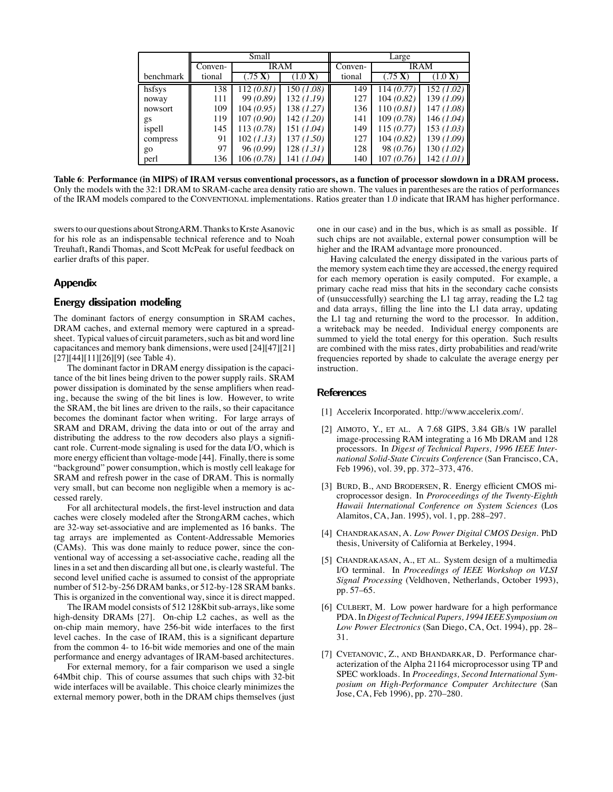|           | Small   |                |                     | Large   |                |                   |
|-----------|---------|----------------|---------------------|---------|----------------|-------------------|
|           | Conven- | <b>IRAM</b>    |                     | Conven- | IRAM           |                   |
| benchmark | tional  | $.75\text{ X}$ | $(1.0\ \textbf{X})$ | tional  | $.75\text{ X}$ | $1.0\ \textrm{X}$ |
| hsfsys    | 138     | 112 (0.81)     | 150 (1.08)          | 149     | 114 (0.77      | 152 (1.02)        |
| noway     | 111     | 99(0.89)       | 132(1.19)           | 127     | 104(0.82)      | 139 (1.09)        |
| nowsort   | 109     | 104(0.95)      | 138 (1.27)          | 136     | 110(0.81)      | 147(1.08)         |
| gs        | 119     | 107(0.90)      | 142 (1.20)          | 141     | 109(0.78)      | 146(1.04)         |
| ispell    | 145     | 113(0.78)      | 151 (1.04)          | 149     | 115(0.77)      | 153(1.03)         |
| compress  | 91      | 102 (1.13)     | 137(1.50)           | 127     | 104(0.82)      | 139 (1.09)        |
| $g_0$     | 97      | 96(0.99)       | 128(1.31)           | 128     | 98(0.76)       | 130(1.02)         |
| perl      | 136     | 106(0.78)      | 141 (1.04)          | 140     | 107(0.76)      | 142 (1.01)        |

**Table 6**: **Performance (in MIPS) of IRAM versus conventional processors, as a function of processor slowdown in a DRAM process.** Only the models with the 32:1 DRAM to SRAM-cache area density ratio are shown. The values in parentheses are the ratios of performances of the IRAM models compared to the CONVENTIONAL implementations. Ratios greater than 1.0 indicate that IRAM has higher performance.

swers to our questions about StrongARM. Thanks to Krste Asanovic for his role as an indispensable technical reference and to Noah Treuhaft, Randi Thomas, and Scott McPeak for useful feedback on earlier drafts of this paper.

# **Appendix**

# **Energy dissipation modeling**

The dominant factors of energy consumption in SRAM caches, DRAM caches, and external memory were captured in a spreadsheet. Typical values of circuit parameters, such as bit and word line capacitances and memory bank dimensions, were used [24][47][21]  $[27][44][11][26][9]$  (see Table 4).

The dominant factor in DRAM energy dissipation is the capacitance of the bit lines being driven to the power supply rails. SRAM power dissipation is dominated by the sense amplifiers when reading, because the swing of the bit lines is low. However, to write the SRAM, the bit lines are driven to the rails, so their capacitance becomes the dominant factor when writing. For large arrays of SRAM and DRAM, driving the data into or out of the array and distributing the address to the row decoders also plays a significant role. Current-mode signaling is used for the data I/O, which is more energy efficient than voltage-mode [44]. Finally, there is some "background" power consumption, which is mostly cell leakage for SRAM and refresh power in the case of DRAM. This is normally very small, but can become non negligible when a memory is accessed rarely.

For all architectural models, the first-level instruction and data caches were closely modeled after the StrongARM caches, which are 32-way set-associative and are implemented as 16 banks. The tag arrays are implemented as Content-Addressable Memories (CAMs). This was done mainly to reduce power, since the conventional way of accessing a set-associative cache, reading all the lines in a set and then discarding all but one, is clearly wasteful. The second level unified cache is assumed to consist of the appropriate number of 512-by-256 DRAM banks, or 512-by-128 SRAM banks. This is organized in the conventional way, since it is direct mapped.

The IRAM model consists of 512 128Kbit sub-arrays, like some high-density DRAMs [27]. On-chip L2 caches, as well as the on-chip main memory, have 256-bit wide interfaces to the first level caches. In the case of IRAM, this is a significant departure from the common 4- to 16-bit wide memories and one of the main performance and energy advantages of IRAM-based architectures.

For external memory, for a fair comparison we used a single 64Mbit chip. This of course assumes that such chips with 32-bit wide interfaces will be available. This choice clearly minimizes the external memory power, both in the DRAM chips themselves (just

one in our case) and in the bus, which is as small as possible. If such chips are not available, external power consumption will be higher and the IRAM advantage more pronounced.

Having calculated the energy dissipated in the various parts of the memory system each time they are accessed, the energy required for each memory operation is easily computed. For example, a primary cache read miss that hits in the secondary cache consists of (unsuccessfully) searching the L1 tag array, reading the L2 tag and data arrays, filling the line into the L1 data array, updating the L1 tag and returning the word to the processor. In addition, a writeback may be needed. Individual energy components are summed to yield the total energy for this operation. Such results are combined with the miss rates, dirty probabilities and read/write frequencies reported by shade to calculate the average energy per instruction.

### References

- [1] Accelerix Incorporated. http://www.accelerix.com/.
- [2] AIMOTO, Y., ET AL. A 7.68 GIPS, 3.84 GB/s 1W parallel image-processing RAM integrating a 16 Mb DRAM and 128 processors. In *Digest of Technical Papers, 1996 IEEE International Solid-State Circuits Conference* (San Francisco, CA, Feb 1996), vol. 39, pp. 372–373, 476.
- [3] BURD, B., AND BRODERSEN, R. Energy efficient CMOS microprocessor design. In *Proroceedings of the Twenty-Eighth Hawaii International Conference on System Sciences* (Los Alamitos, CA, Jan. 1995), vol. 1, pp. 288–297.
- [4] CHANDRAKASAN, A. *Low Power Digital CMOS Design*. PhD thesis, University of California at Berkeley, 1994.
- [5] CHANDRAKASAN, A., ET AL. System design of a multimedia I/O terminal. In *Proceedings of IEEE Workshop on VLSI Signal Processing* (Veldhoven, Netherlands, October 1993), pp. 57–65.
- [6] CULBERT, M. Low power hardware for a high performance PDA. In *Digest of Technical Papers, 1994 IEEE Symposium on Low Power Electronics* (San Diego, CA, Oct. 1994), pp. 28– 31.
- [7] CVETANOVIC, Z., AND BHANDARKAR, D. Performance characterization of the Alpha 21164 microprocessor using TP and SPEC workloads. In *Proceedings, Second International Symposium on High-Performance Computer Architecture* (San Jose, CA, Feb 1996), pp. 270–280.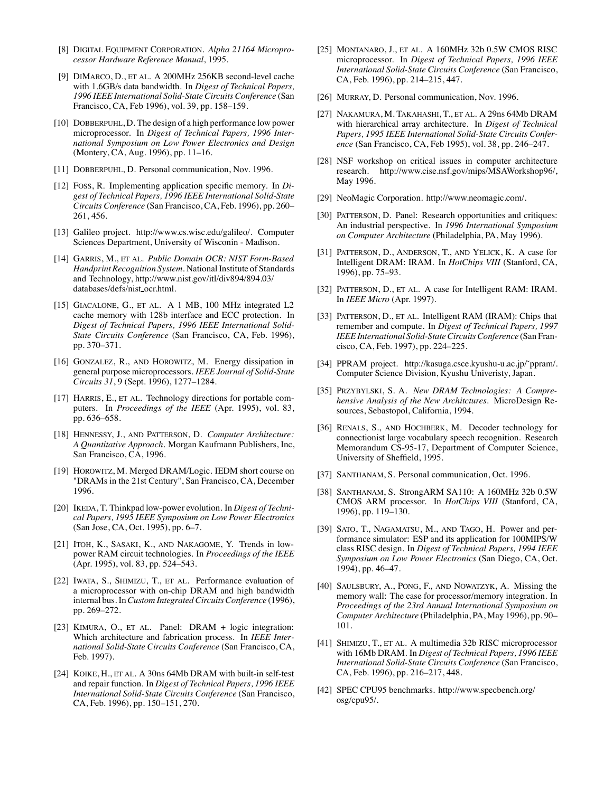- [8] DIGITAL EQUIPMENT CORPORATION. *Alpha 21164 Microprocessor Hardware Reference Manual*, 1995.
- [9] DIMARCO, D., ET AL. A 200MHz 256KB second-level cache with 1.6GB/s data bandwidth. In *Digest of Technical Papers, 1996 IEEE International Solid-State Circuits Conference* (San Francisco, CA, Feb 1996), vol. 39, pp. 158–159.
- [10] DOBBERPUHL, D. The design of a high performance low power microprocessor. In *Digest of Technical Papers, 1996 International Symposium on Low Power Electronics and Design* (Montery, CA, Aug. 1996), pp. 11–16.
- [11] DOBBERPUHL, D. Personal communication, Nov. 1996.
- [12] FOSS, R. Implementing application specific memory. In *Digest of Technical Papers, 1996 IEEE International Solid-State Circuits Conference* (San Francisco, CA, Feb. 1996), pp. 260– 261, 456.
- [13] Galileo project. http://www.cs.wisc.edu/galileo/. Computer Sciences Department, University of Wisconin - Madison.
- [14] GARRIS, M., ET AL. *Public Domain OCR: NIST Form-Based Handprint Recognition System*. National Institute of Standards and Technology, http://www.nist.gov/itl/div894/894.03/ databases/defs/nist ocr.html.
- [15] GIACALONE, G., ET AL. A 1 MB, 100 MHz integrated L2 cache memory with 128b interface and ECC protection. In *Digest of Technical Papers, 1996 IEEE International Solid-State Circuits Conference* (San Francisco, CA, Feb. 1996), pp. 370–371.
- [16] GONZALEZ, R., AND HOROWITZ, M. Energy dissipation in general purpose microprocessors. *IEEE Journal of Solid-State Circuits 31*, 9 (Sept. 1996), 1277–1284.
- [17] HARRIS, E., ET AL. Technology directions for portable computers. In *Proceedings of the IEEE* (Apr. 1995), vol. 83, pp. 636–658.
- [18] HENNESSY, J., AND PATTERSON, D. *Computer Architecture: A Quantitative Approach*. Morgan Kaufmann Publishers, Inc, San Francisco, CA, 1996.
- [19] HOROWITZ, M. Merged DRAM/Logic. IEDM short course on "DRAMs in the 21st Century", San Francisco, CA, December 1996.
- [20] IKEDA, T. Thinkpad low-power evolution. In *Digest of Technical Papers, 1995 IEEE Symposium on Low Power Electronics* (San Jose, CA, Oct. 1995), pp. 6–7.
- [21] ITOH, K., SASAKI, K., AND NAKAGOME, Y. Trends in lowpower RAM circuit technologies. In *Proceedings of the IEEE* (Apr. 1995), vol. 83, pp. 524–543.
- [22] IWATA, S., SHIMIZU, T., ET AL. Performance evaluation of a microprocessor with on-chip DRAM and high bandwidth internal bus. In*Custom Integrated Circuits Conference* (1996), pp. 269–272.
- [23] KIMURA, O., ET AL. Panel: DRAM + logic integration: Which architecture and fabrication process. In *IEEE International Solid-State Circuits Conference* (San Francisco, CA, Feb. 1997).
- [24] KOIKE, H., ET AL. A 30ns 64Mb DRAM with built-in self-test and repair function. In *Digest of Technical Papers, 1996 IEEE International Solid-State Circuits Conference* (San Francisco, CA, Feb. 1996), pp. 150–151, 270.
- [25] MONTANARO, J., ET AL. A 160MHz 32b 0.5W CMOS RISC microprocessor. In *Digest of Technical Papers, 1996 IEEE International Solid-State Circuits Conference* (San Francisco, CA, Feb. 1996), pp. 214–215, 447.
- [26] MURRAY, D. Personal communication, Nov. 1996.
- [27] NAKAMURA, M. TAKAHASHI, T., ET AL. A 29ns 64Mb DRAM with hierarchical array architecture. In *Digest of Technical Papers, 1995 IEEE International Solid-State Circuits Conference* (San Francisco, CA, Feb 1995), vol. 38, pp. 246–247.
- [28] NSF workshop on critical issues in computer architecture research. http://www.cise.nsf.gov/mips/MSAWorkshop96/, May 1996.
- [29] NeoMagic Corporation. http://www.neomagic.com/.
- [30] PATTERSON, D. Panel: Research opportunities and critiques: An industrial perspective. In *1996 International Symposium on Computer Architecture* (Philadelphia, PA, May 1996).
- [31] PATTERSON, D., ANDERSON, T., AND YELICK, K. A case for Intelligent DRAM: IRAM. In *HotChips VIII* (Stanford, CA, 1996), pp. 75–93.
- [32] PATTERSON, D., ET AL. A case for Intelligent RAM: IRAM. In *IEEE Micro* (Apr. 1997).
- [33] PATTERSON, D., ET AL. Intelligent RAM (IRAM): Chips that remember and compute. In *Digest of Technical Papers, 1997 IEEE International Solid-State Circuits Conference* (San Francisco, CA, Feb. 1997), pp. 224–225.
- [34] PPRAM project. http://kasuga.csce.kyushu-u.ac.jp/~ppram/. Computer Science Division, Kyushu Univeristy, Japan.
- [35] PRZYBYLSKI, S. A. *New DRAM Technologies: A Comprehensive Analysis of the New Architctures*. MicroDesign Resources, Sebastopol, California, 1994.
- [36] RENALS, S., AND HOCHBERK, M. Decoder technology for connectionist large vocabulary speech recognition. Research Memorandum CS-95-17, Department of Computer Science, University of Sheffield, 1995.
- [37] SANTHANAM, S. Personal communication, Oct. 1996.
- [38] SANTHANAM, S. StrongARM SA110: A 160MHz 32b 0.5W CMOS ARM processor. In *HotChips VIII* (Stanford, CA, 1996), pp. 119–130.
- [39] SATO, T., NAGAMATSU, M., AND TAGO, H. Power and performance simulator: ESP and its application for 100MIPS/W class RISC design. In *Digest of Technical Papers, 1994 IEEE Symposium on Low Power Electronics* (San Diego, CA, Oct. 1994), pp. 46–47.
- [40] SAULSBURY, A., PONG, F., AND NOWATZYK, A. Missing the memory wall: The case for processor/memory integration. In *Proceedings of the 23rd Annual International Symposium on Computer Architecture* (Philadelphia, PA, May 1996), pp. 90– 101.
- [41] SHIMIZU, T., ET AL. A multimedia 32b RISC microprocessor with 16Mb DRAM. In *Digest of Technical Papers, 1996 IEEE International Solid-State Circuits Conference* (San Francisco, CA, Feb. 1996), pp. 216–217, 448.
- [42] SPEC CPU95 benchmarks. http://www.specbench.org/ osg/cpu95/.